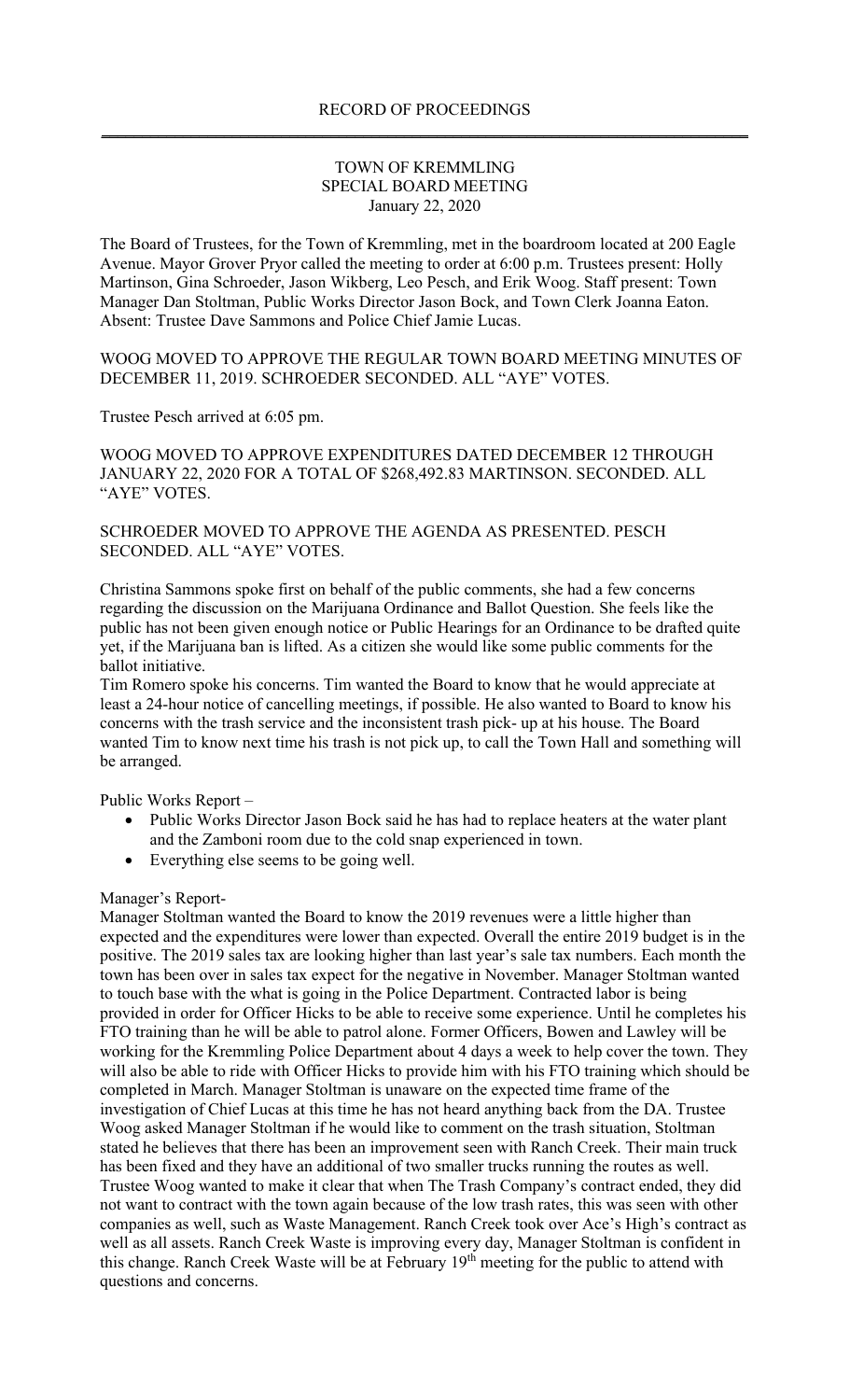## TOWN OF KREMMLING SPECIAL BOARD MEETING January 22, 2020

The Board of Trustees, for the Town of Kremmling, met in the boardroom located at 200 Eagle Avenue. Mayor Grover Pryor called the meeting to order at 6:00 p.m. Trustees present: Holly Martinson, Gina Schroeder, Jason Wikberg, Leo Pesch, and Erik Woog. Staff present: Town Manager Dan Stoltman, Public Works Director Jason Bock, and Town Clerk Joanna Eaton. Absent: Trustee Dave Sammons and Police Chief Jamie Lucas.

WOOG MOVED TO APPROVE THE REGULAR TOWN BOARD MEETING MINUTES OF DECEMBER 11, 2019. SCHROEDER SECONDED. ALL "AYE" VOTES.

Trustee Pesch arrived at 6:05 pm.

WOOG MOVED TO APPROVE EXPENDITURES DATED DECEMBER 12 THROUGH JANUARY 22, 2020 FOR A TOTAL OF \$268,492.83 MARTINSON. SECONDED. ALL "AYE" VOTES.

## SCHROEDER MOVED TO APPROVE THE AGENDA AS PRESENTED. PESCH SECONDED. ALL "AYE" VOTES.

Christina Sammons spoke first on behalf of the public comments, she had a few concerns regarding the discussion on the Marijuana Ordinance and Ballot Question. She feels like the public has not been given enough notice or Public Hearings for an Ordinance to be drafted quite yet, if the Marijuana ban is lifted. As a citizen she would like some public comments for the ballot initiative.

Tim Romero spoke his concerns. Tim wanted the Board to know that he would appreciate at least a 24-hour notice of cancelling meetings, if possible. He also wanted to Board to know his concerns with the trash service and the inconsistent trash pick- up at his house. The Board wanted Tim to know next time his trash is not pick up, to call the Town Hall and something will be arranged.

Public Works Report –

- Public Works Director Jason Bock said he has had to replace heaters at the water plant and the Zamboni room due to the cold snap experienced in town.
- Everything else seems to be going well.

## Manager's Report-

Manager Stoltman wanted the Board to know the 2019 revenues were a little higher than expected and the expenditures were lower than expected. Overall the entire 2019 budget is in the positive. The 2019 sales tax are looking higher than last year's sale tax numbers. Each month the town has been over in sales tax expect for the negative in November. Manager Stoltman wanted to touch base with the what is going in the Police Department. Contracted labor is being provided in order for Officer Hicks to be able to receive some experience. Until he completes his FTO training than he will be able to patrol alone. Former Officers, Bowen and Lawley will be working for the Kremmling Police Department about 4 days a week to help cover the town. They will also be able to ride with Officer Hicks to provide him with his FTO training which should be completed in March. Manager Stoltman is unaware on the expected time frame of the investigation of Chief Lucas at this time he has not heard anything back from the DA. Trustee Woog asked Manager Stoltman if he would like to comment on the trash situation, Stoltman stated he believes that there has been an improvement seen with Ranch Creek. Their main truck has been fixed and they have an additional of two smaller trucks running the routes as well. Trustee Woog wanted to make it clear that when The Trash Company's contract ended, they did not want to contract with the town again because of the low trash rates, this was seen with other companies as well, such as Waste Management. Ranch Creek took over Ace's High's contract as well as all assets. Ranch Creek Waste is improving every day, Manager Stoltman is confident in this change. Ranch Creek Waste will be at February 19<sup>th</sup> meeting for the public to attend with questions and concerns.